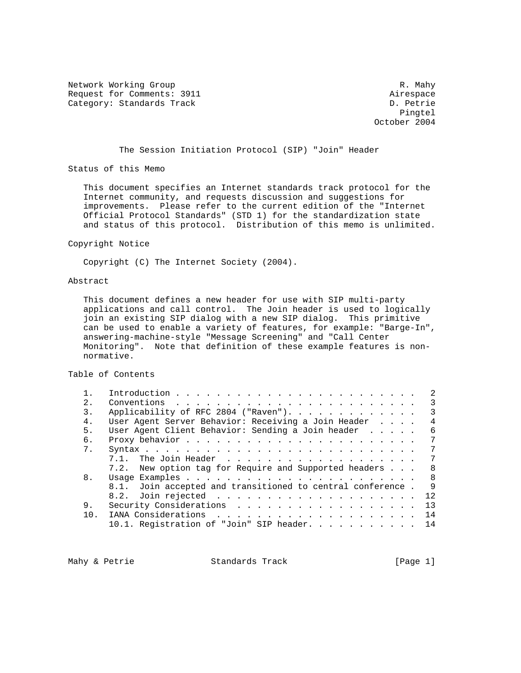Network Working Group and the set of the set of the set of the set of the set of the set of the set of the set of the set of the set of the set of the set of the set of the set of the set of the set of the set of the set o Request for Comments: 3911 Airespace Category: Standards Track D. Petrie

Pingtel (2008) and 2008 and 2008 and 2008 and 2008 and 2008 and 2008 and 2008 and 2008 and 2008 and 2008 and 20 October 2004

# The Session Initiation Protocol (SIP) "Join" Header

Status of this Memo

 This document specifies an Internet standards track protocol for the Internet community, and requests discussion and suggestions for improvements. Please refer to the current edition of the "Internet Official Protocol Standards" (STD 1) for the standardization state and status of this protocol. Distribution of this memo is unlimited.

### Copyright Notice

Copyright (C) The Internet Society (2004).

## Abstract

 This document defines a new header for use with SIP multi-party applications and call control. The Join header is used to logically join an existing SIP dialog with a new SIP dialog. This primitive can be used to enable a variety of features, for example: "Barge-In", answering-machine-style "Message Screening" and "Call Center Monitoring". Note that definition of these example features is non normative.

## Table of Contents

|     |                                                                                              | $\mathcal{L}$  |
|-----|----------------------------------------------------------------------------------------------|----------------|
| 2.1 | Conventions $\ldots$ $\ldots$ $\ldots$ $\ldots$ $\ldots$ $\ldots$ $\ldots$ $\ldots$ $\ldots$ | 3              |
| 3.  |                                                                                              | $\mathcal{R}$  |
| 4.  | User Agent Server Behavior: Receiving a Join Header                                          | 4              |
| 5.  | User Agent Client Behavior: Sending a Join header                                            | 6              |
| 6.  |                                                                                              | 7              |
| 7.  |                                                                                              | 7              |
|     | 7.1. The Join Header,                                                                        | 7              |
|     | 7.2. New option tag for Require and Supported headers                                        | - 8            |
| 8.  |                                                                                              | $\overline{8}$ |
|     | 8.1. Join accepted and transitioned to central conference. 9                                 |                |
|     |                                                                                              |                |
| 9.  |                                                                                              | 13             |
| 1 N |                                                                                              | 14             |
|     | 10.1. Registration of "Join" SIP header.                                                     | 14             |

Mahy & Petrie  $S$ tandards Track [Page 1]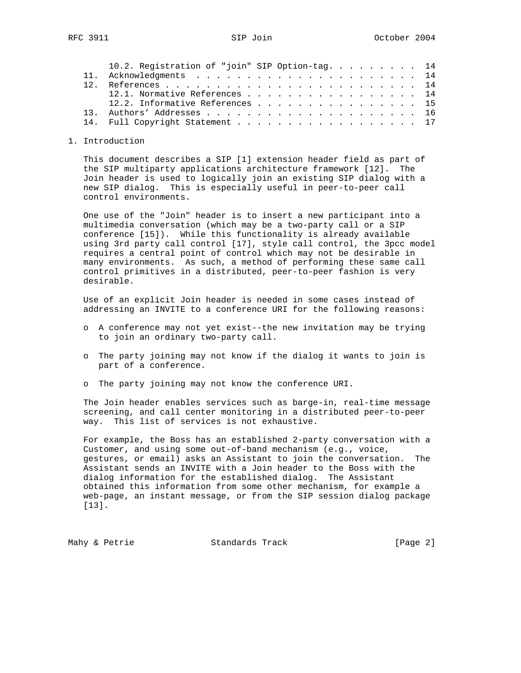|  | 10.2. Registration of "join" SIP Option-tag. 14 |  |
|--|-------------------------------------------------|--|
|  |                                                 |  |
|  |                                                 |  |
|  | 12.1. Normative References 14                   |  |
|  | 12.2. Informative References 15                 |  |
|  |                                                 |  |
|  | 14. Full Copyright Statement 17                 |  |

## 1. Introduction

 This document describes a SIP [1] extension header field as part of the SIP multiparty applications architecture framework [12]. The Join header is used to logically join an existing SIP dialog with a new SIP dialog. This is especially useful in peer-to-peer call control environments.

 One use of the "Join" header is to insert a new participant into a multimedia conversation (which may be a two-party call or a SIP conference [15]). While this functionality is already available using 3rd party call control [17], style call control, the 3pcc model requires a central point of control which may not be desirable in many environments. As such, a method of performing these same call control primitives in a distributed, peer-to-peer fashion is very desirable.

 Use of an explicit Join header is needed in some cases instead of addressing an INVITE to a conference URI for the following reasons:

- o A conference may not yet exist--the new invitation may be trying to join an ordinary two-party call.
- o The party joining may not know if the dialog it wants to join is part of a conference.
- o The party joining may not know the conference URI.

 The Join header enables services such as barge-in, real-time message screening, and call center monitoring in a distributed peer-to-peer way. This list of services is not exhaustive.

 For example, the Boss has an established 2-party conversation with a Customer, and using some out-of-band mechanism (e.g., voice, gestures, or email) asks an Assistant to join the conversation. The Assistant sends an INVITE with a Join header to the Boss with the dialog information for the established dialog. The Assistant obtained this information from some other mechanism, for example a web-page, an instant message, or from the SIP session dialog package [13].

Mahy & Petrie  $\sim$  Standards Track [Page 2]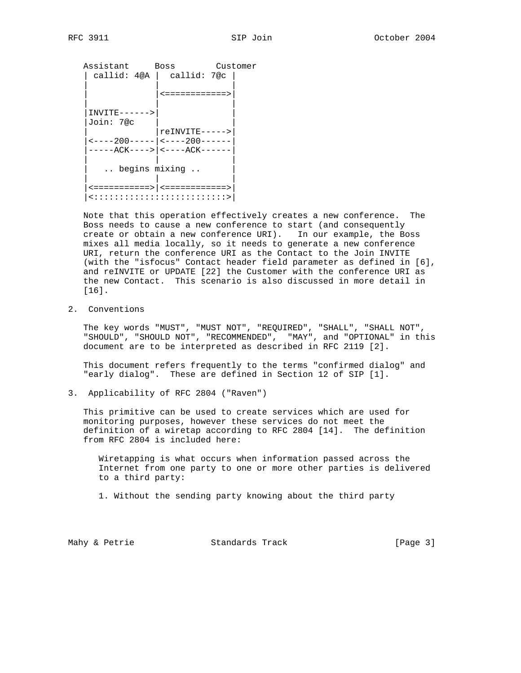Assistant Boss Customer | callid: 4@A | callid: 7@c | | | | | |<============>| | | |  $INVITE------>$  |Join: 7@c | |  $|$   $relivity$   $----$  |<----200-----|<----200------| |-----ACK---->|<----ACK------| | | | .. begins mixing .. | | | |<===========>|<============>| |<::::::::::::::::::::::::::>|

 Note that this operation effectively creates a new conference. The Boss needs to cause a new conference to start (and consequently create or obtain a new conference URI). In our example, the Boss mixes all media locally, so it needs to generate a new conference URI, return the conference URI as the Contact to the Join INVITE (with the "isfocus" Contact header field parameter as defined in [6], and reINVITE or UPDATE [22] the Customer with the conference URI as the new Contact. This scenario is also discussed in more detail in [16].

2. Conventions

 The key words "MUST", "MUST NOT", "REQUIRED", "SHALL", "SHALL NOT", "SHOULD", "SHOULD NOT", "RECOMMENDED", "MAY", and "OPTIONAL" in this document are to be interpreted as described in RFC 2119 [2].

 This document refers frequently to the terms "confirmed dialog" and "early dialog". These are defined in Section 12 of SIP [1].

3. Applicability of RFC 2804 ("Raven")

 This primitive can be used to create services which are used for monitoring purposes, however these services do not meet the definition of a wiretap according to RFC 2804 [14]. The definition from RFC 2804 is included here:

 Wiretapping is what occurs when information passed across the Internet from one party to one or more other parties is delivered to a third party:

1. Without the sending party knowing about the third party

Mahy & Petrie  $\sim$  Standards Track [Page 3]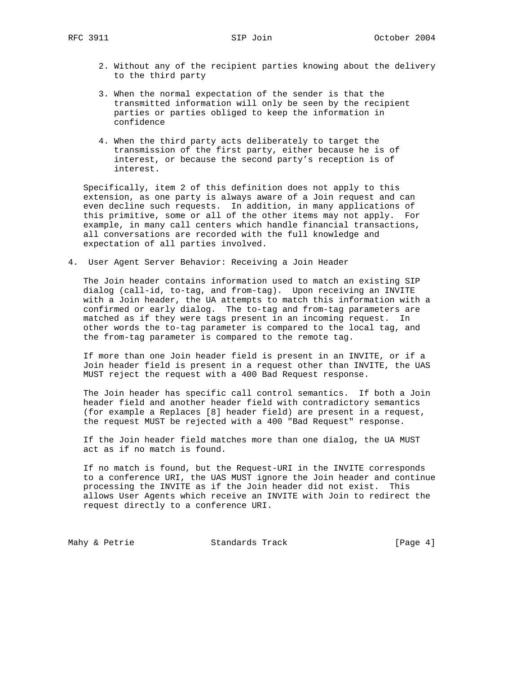- 2. Without any of the recipient parties knowing about the delivery to the third party
- 3. When the normal expectation of the sender is that the transmitted information will only be seen by the recipient parties or parties obliged to keep the information in confidence
- 4. When the third party acts deliberately to target the transmission of the first party, either because he is of interest, or because the second party's reception is of interest.

 Specifically, item 2 of this definition does not apply to this extension, as one party is always aware of a Join request and can even decline such requests. In addition, in many applications of this primitive, some or all of the other items may not apply. For example, in many call centers which handle financial transactions, all conversations are recorded with the full knowledge and expectation of all parties involved.

4. User Agent Server Behavior: Receiving a Join Header

 The Join header contains information used to match an existing SIP dialog (call-id, to-tag, and from-tag). Upon receiving an INVITE with a Join header, the UA attempts to match this information with a confirmed or early dialog. The to-tag and from-tag parameters are matched as if they were tags present in an incoming request. In other words the to-tag parameter is compared to the local tag, and the from-tag parameter is compared to the remote tag.

 If more than one Join header field is present in an INVITE, or if a Join header field is present in a request other than INVITE, the UAS MUST reject the request with a 400 Bad Request response.

 The Join header has specific call control semantics. If both a Join header field and another header field with contradictory semantics (for example a Replaces [8] header field) are present in a request, the request MUST be rejected with a 400 "Bad Request" response.

 If the Join header field matches more than one dialog, the UA MUST act as if no match is found.

 If no match is found, but the Request-URI in the INVITE corresponds to a conference URI, the UAS MUST ignore the Join header and continue processing the INVITE as if the Join header did not exist. This allows User Agents which receive an INVITE with Join to redirect the request directly to a conference URI.

Mahy & Petrie **Standards Track** [Page 4]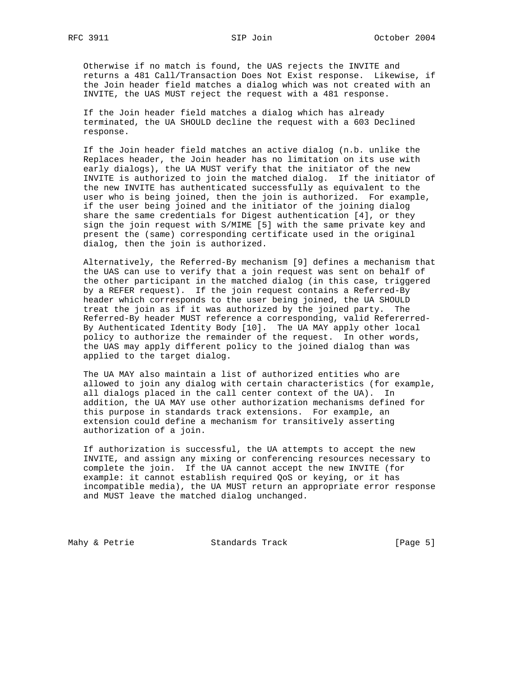Otherwise if no match is found, the UAS rejects the INVITE and returns a 481 Call/Transaction Does Not Exist response. Likewise, if the Join header field matches a dialog which was not created with an INVITE, the UAS MUST reject the request with a 481 response.

 If the Join header field matches a dialog which has already terminated, the UA SHOULD decline the request with a 603 Declined response.

 If the Join header field matches an active dialog (n.b. unlike the Replaces header, the Join header has no limitation on its use with early dialogs), the UA MUST verify that the initiator of the new INVITE is authorized to join the matched dialog. If the initiator of the new INVITE has authenticated successfully as equivalent to the user who is being joined, then the join is authorized. For example, if the user being joined and the initiator of the joining dialog share the same credentials for Digest authentication [4], or they sign the join request with S/MIME [5] with the same private key and present the (same) corresponding certificate used in the original dialog, then the join is authorized.

 Alternatively, the Referred-By mechanism [9] defines a mechanism that the UAS can use to verify that a join request was sent on behalf of the other participant in the matched dialog (in this case, triggered by a REFER request). If the join request contains a Referred-By header which corresponds to the user being joined, the UA SHOULD treat the join as if it was authorized by the joined party. The Referred-By header MUST reference a corresponding, valid Refererred- By Authenticated Identity Body [10]. The UA MAY apply other local policy to authorize the remainder of the request. In other words, the UAS may apply different policy to the joined dialog than was applied to the target dialog.

 The UA MAY also maintain a list of authorized entities who are allowed to join any dialog with certain characteristics (for example, all dialogs placed in the call center context of the UA). In addition, the UA MAY use other authorization mechanisms defined for this purpose in standards track extensions. For example, an extension could define a mechanism for transitively asserting authorization of a join.

 If authorization is successful, the UA attempts to accept the new INVITE, and assign any mixing or conferencing resources necessary to complete the join. If the UA cannot accept the new INVITE (for example: it cannot establish required QoS or keying, or it has incompatible media), the UA MUST return an appropriate error response and MUST leave the matched dialog unchanged.

Mahy & Petrie **Standards Track** [Page 5]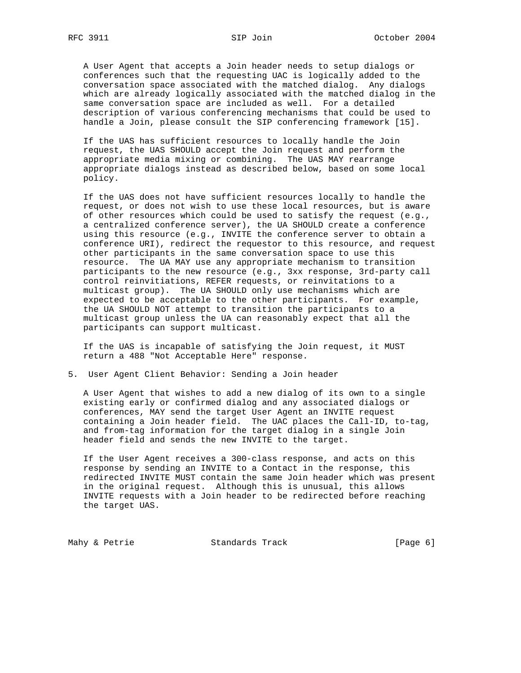A User Agent that accepts a Join header needs to setup dialogs or conferences such that the requesting UAC is logically added to the conversation space associated with the matched dialog. Any dialogs which are already logically associated with the matched dialog in the same conversation space are included as well. For a detailed description of various conferencing mechanisms that could be used to handle a Join, please consult the SIP conferencing framework [15].

 If the UAS has sufficient resources to locally handle the Join request, the UAS SHOULD accept the Join request and perform the appropriate media mixing or combining. The UAS MAY rearrange appropriate dialogs instead as described below, based on some local policy.

 If the UAS does not have sufficient resources locally to handle the request, or does not wish to use these local resources, but is aware of other resources which could be used to satisfy the request (e.g., a centralized conference server), the UA SHOULD create a conference using this resource (e.g., INVITE the conference server to obtain a conference URI), redirect the requestor to this resource, and request other participants in the same conversation space to use this resource. The UA MAY use any appropriate mechanism to transition participants to the new resource (e.g., 3xx response, 3rd-party call control reinvitiations, REFER requests, or reinvitations to a multicast group). The UA SHOULD only use mechanisms which are expected to be acceptable to the other participants. For example, the UA SHOULD NOT attempt to transition the participants to a multicast group unless the UA can reasonably expect that all the participants can support multicast.

 If the UAS is incapable of satisfying the Join request, it MUST return a 488 "Not Acceptable Here" response.

5. User Agent Client Behavior: Sending a Join header

 A User Agent that wishes to add a new dialog of its own to a single existing early or confirmed dialog and any associated dialogs or conferences, MAY send the target User Agent an INVITE request containing a Join header field. The UAC places the Call-ID, to-tag, and from-tag information for the target dialog in a single Join header field and sends the new INVITE to the target.

 If the User Agent receives a 300-class response, and acts on this response by sending an INVITE to a Contact in the response, this redirected INVITE MUST contain the same Join header which was present in the original request. Although this is unusual, this allows INVITE requests with a Join header to be redirected before reaching the target UAS.

Mahy & Petrie **Standards Track** [Page 6]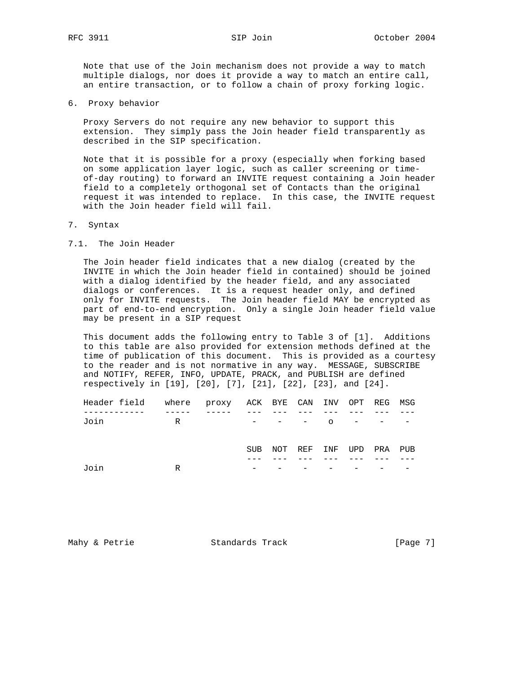Note that use of the Join mechanism does not provide a way to match multiple dialogs, nor does it provide a way to match an entire call, an entire transaction, or to follow a chain of proxy forking logic.

6. Proxy behavior

 Proxy Servers do not require any new behavior to support this extension. They simply pass the Join header field transparently as described in the SIP specification.

 Note that it is possible for a proxy (especially when forking based on some application layer logic, such as caller screening or time of-day routing) to forward an INVITE request containing a Join header field to a completely orthogonal set of Contacts than the original request it was intended to replace. In this case, the INVITE request with the Join header field will fail.

- 7. Syntax
- 7.1. The Join Header

 The Join header field indicates that a new dialog (created by the INVITE in which the Join header field in contained) should be joined with a dialog identified by the header field, and any associated dialogs or conferences. It is a request header only, and defined only for INVITE requests. The Join header field MAY be encrypted as part of end-to-end encryption. Only a single Join header field value may be present in a SIP request

 This document adds the following entry to Table 3 of [1]. Additions to this table are also provided for extension methods defined at the time of publication of this document. This is provided as a courtesy to the reader and is not normative in any way. MESSAGE, SUBSCRIBE and NOTIFY, REFER, INFO, UPDATE, PRACK, and PUBLISH are defined respectively in [19], [20], [7], [21], [22], [23], and [24].

| Header field where proxy ACK BYE CAN INV OPT REG MSG |   |            |               |     |             |  |
|------------------------------------------------------|---|------------|---------------|-----|-------------|--|
|                                                      |   |            |               |     |             |  |
| Join                                                 | R |            | $  -$ 0 $  -$ |     |             |  |
|                                                      |   |            |               |     |             |  |
|                                                      |   |            |               |     |             |  |
|                                                      |   | <b>SUB</b> | NOT REF       | INF | UPD PRA PUB |  |
|                                                      |   |            |               |     |             |  |
| Join                                                 | R |            |               |     |             |  |
|                                                      |   |            |               |     |             |  |

Mahy & Petrie **Standards Track** [Page 7]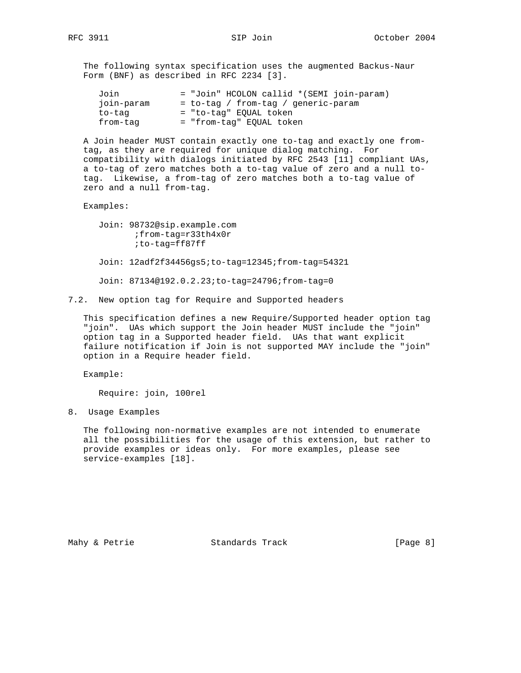The following syntax specification uses the augmented Backus-Naur Form (BNF) as described in RFC 2234 [3].

| Join       | = "Join" HCOLON callid *(SEMI join-param) |
|------------|-------------------------------------------|
| join-param | = to-tag / from-tag / generic-param       |
| to-tag     | = "to-tag" EOUAL token                    |
| from-tag   | = "from-tag" EOUAL token                  |

 A Join header MUST contain exactly one to-tag and exactly one from tag, as they are required for unique dialog matching. For compatibility with dialogs initiated by RFC 2543 [11] compliant UAs, a to-tag of zero matches both a to-tag value of zero and a null to tag. Likewise, a from-tag of zero matches both a to-tag value of zero and a null from-tag.

Examples:

 Join: 98732@sip.example.com ;from-tag=r33th4x0r ;to-tag=ff87ff Join: 12adf2f34456gs5;to-tag=12345;from-tag=54321 Join: 87134@192.0.2.23;to-tag=24796;from-tag=0

7.2. New option tag for Require and Supported headers

 This specification defines a new Require/Supported header option tag "join". UAs which support the Join header MUST include the "join" option tag in a Supported header field. UAs that want explicit failure notification if Join is not supported MAY include the "join" option in a Require header field.

Example:

Require: join, 100rel

8. Usage Examples

 The following non-normative examples are not intended to enumerate all the possibilities for the usage of this extension, but rather to provide examples or ideas only. For more examples, please see service-examples [18].

Mahy & Petrie  $\sim$  Standards Track [Page 8]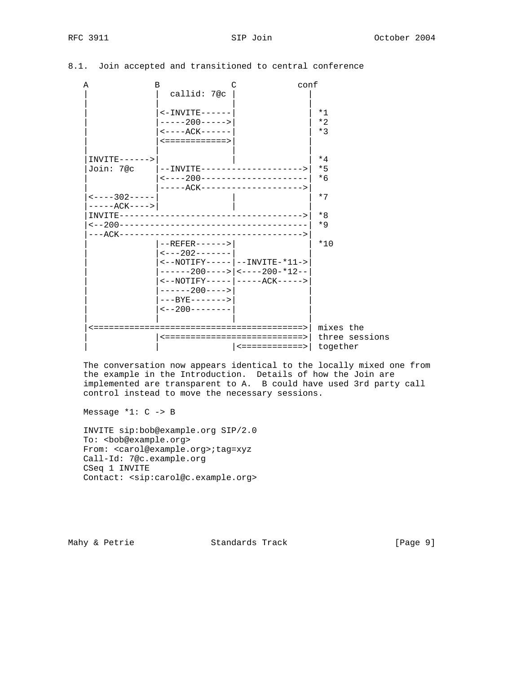|  |  |  |  | 8.1. Join accepted and transitioned to central conference |  |  |  |
|--|--|--|--|-----------------------------------------------------------|--|--|--|
|--|--|--|--|-----------------------------------------------------------|--|--|--|

| Α                 | В                                                                   |                | conf           |
|-------------------|---------------------------------------------------------------------|----------------|----------------|
|                   | callid: 7@c                                                         |                |                |
|                   | $\leftarrow$ INVITE - - - - -                                       |                | $*1$           |
|                   | $---200---$                                                         |                | $*2$           |
|                   | $\leftarrow$ - - - - ACK - - - - - -                                |                | $*3$           |
|                   | <============>                                                      |                |                |
| $INVITE-----$     |                                                                     |                | $*4$           |
| Join: 7@c         |                                                                     |                | $*5$           |
|                   | <----200----------------------                                      |                | $*6$           |
|                   | -----ACK--------------------->                                      |                |                |
| $---302---$       |                                                                     |                | $*7$           |
| $---ACK---$       |                                                                     |                |                |
| $INVITE---------$ |                                                                     |                | $*8$           |
|                   |                                                                     |                | $*9$           |
|                   |                                                                     |                |                |
|                   | $-$ -REFER------>                                                   |                | $*10$          |
|                   | $\leftarrow$ - - - 202 - - - - - - -                                |                |                |
|                   | $\left  -\text{NOTIFY} \right $ - - - - - - - - - INVITE - * 11 - > |                |                |
|                   | $---200--->  ---200}-*12--$                                         |                |                |
|                   | <--NOTIFY----- -----ACK----->                                       |                |                |
|                   | $-----200--->$<br>$---BYF------$                                    |                |                |
|                   | $\leftarrow$ - 200 - - - - - - - -                                  |                |                |
|                   |                                                                     |                |                |
|                   |                                                                     |                | mixes the      |
|                   | <============================>                                      |                | three sessions |
|                   |                                                                     | <============> | together       |

 The conversation now appears identical to the locally mixed one from the example in the Introduction. Details of how the Join are implemented are transparent to A. B could have used 3rd party call control instead to move the necessary sessions.

Message \*1: C -> B

 INVITE sip:bob@example.org SIP/2.0 To: <bob@example.org> From: <carol@example.org>;tag=xyz Call-Id: 7@c.example.org CSeq 1 INVITE Contact: <sip:carol@c.example.org>

Mahy & Petrie **Standards Track** [Page 9]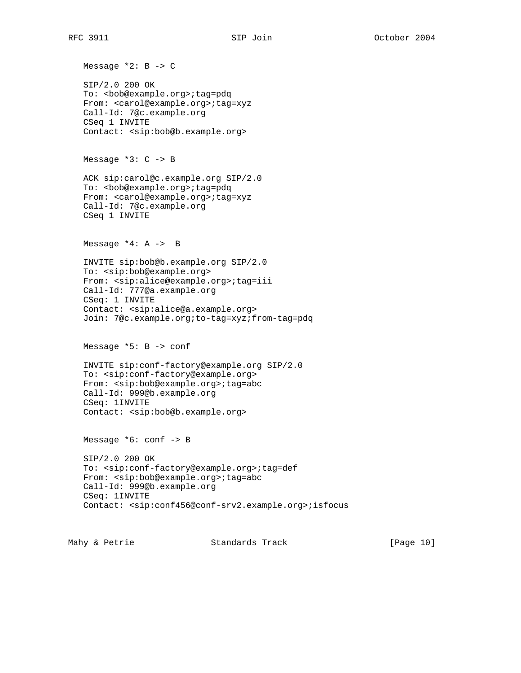Message \*2: B -> C SIP/2.0 200 OK To: <bb>>>b@example.org>;tag=pdq From: <carol@example.org>;tag=xyz Call-Id: 7@c.example.org CSeq 1 INVITE Contact: <sip:bob@b.example.org> Message \*3: C -> B ACK sip:carol@c.example.org SIP/2.0 To: <br/>bob@example.org>;tag=pdq From: <carol@example.org>;tag=xyz Call-Id: 7@c.example.org CSeq 1 INVITE Message  $*4: A \rightarrow B$  INVITE sip:bob@b.example.org SIP/2.0 To: <sip:bob@example.org> From: <sip:alice@example.org>;tag=iii Call-Id: 777@a.example.org CSeq: 1 INVITE Contact: <sip:alice@a.example.org> Join: 7@c.example.org;to-tag=xyz;from-tag=pdq Message \*5: B -> conf INVITE sip:conf-factory@example.org SIP/2.0 To: <sip:conf-factory@example.org> From: <sip:bob@example.org>;tag=abc Call-Id: 999@b.example.org CSeq: 1INVITE Contact: <sip:bob@b.example.org> Message \*6: conf -> B SIP/2.0 200 OK To: <sip:conf-factory@example.org>;tag=def From: <sip:bob@example.org>;tag=abc Call-Id: 999@b.example.org CSeq: 1INVITE Contact: <sip:conf456@conf-srv2.example.org>;isfocus

Mahy & Petrie  $\sim$  Standards Track [Page 10]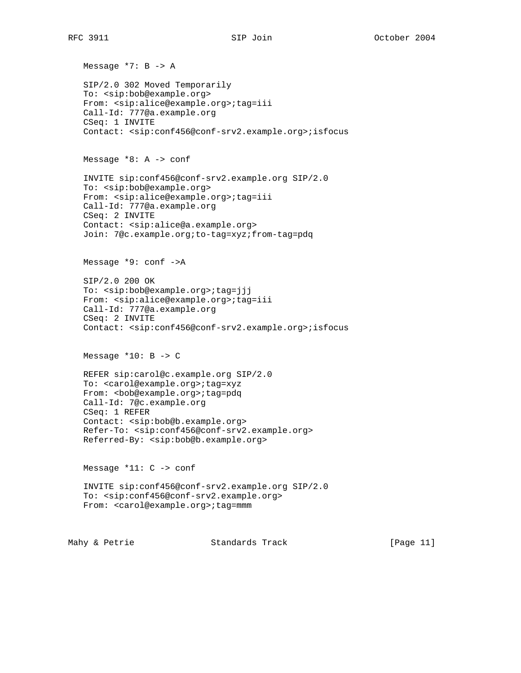Message \*7: B -> A SIP/2.0 302 Moved Temporarily To: <sip:bob@example.org> From: <sip:alice@example.org>;tag=iii Call-Id: 777@a.example.org CSeq: 1 INVITE Contact: <sip:conf456@conf-srv2.example.org>;isfocus Message \*8: A -> conf INVITE sip:conf456@conf-srv2.example.org SIP/2.0 To: <sip:bob@example.org> From: <sip:alice@example.org>;tag=iii Call-Id: 777@a.example.org CSeq: 2 INVITE Contact: <sip:alice@a.example.org> Join: 7@c.example.org;to-tag=xyz;from-tag=pdq Message \*9: conf ->A SIP/2.0 200 OK To: <sip:bob@example.org>;tag=jjj From: <sip:alice@example.org>;tag=iii Call-Id: 777@a.example.org CSeq: 2 INVITE Contact: <sip:conf456@conf-srv2.example.org>;isfocus Message  $*10: B \rightarrow C$  REFER sip:carol@c.example.org SIP/2.0 To: <carol@example.org>;tag=xyz From: <bob@example.org>;tag=pdq Call-Id: 7@c.example.org CSeq: 1 REFER Contact: <sip:bob@b.example.org> Refer-To: <sip:conf456@conf-srv2.example.org> Referred-By: <sip:bob@b.example.org> Message \*11: C -> conf INVITE sip:conf456@conf-srv2.example.org SIP/2.0 To: <sip:conf456@conf-srv2.example.org> From: <carol@example.org>;tag=mmm

Mahy & Petrie  $\sim$  Standards Track [Page 11]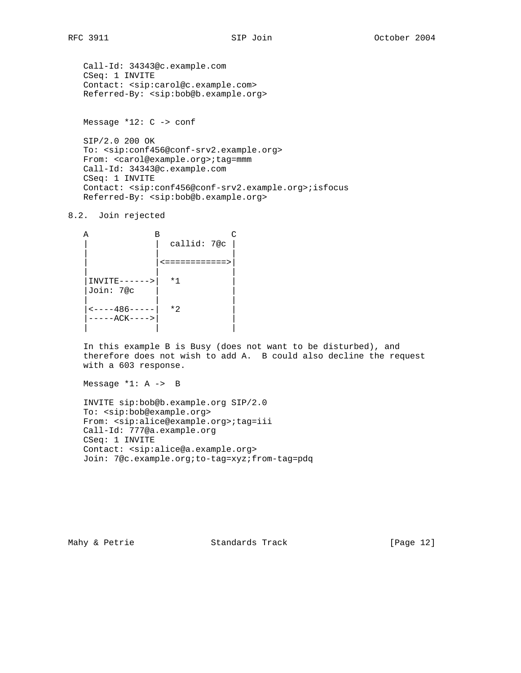```
 Call-Id: 34343@c.example.com
CSeq: 1 INVITE
Contact: <sip:carol@c.example.com>
Referred-By: <sip:bob@b.example.org>
```
Message \*12: C -> conf

 SIP/2.0 200 OK To: <sip:conf456@conf-srv2.example.org> From: <carol@example.org>;tag=mmm Call-Id: 34343@c.example.com CSeq: 1 INVITE Contact: <sip:conf456@conf-srv2.example.org>;isfocus Referred-By: <sip:bob@b.example.org>

8.2. Join rejected

```
A B C
                                     \vert callid: 7@c \vert | | |
                                     | |<============>|
| | |
       |INVITE------>| *1 |
       |Join: 7@c | |
| | |
       \left| \left| \left| \left| \left| \left| \left| \left| \left| \left| \right| \right| \right| \right| \right| \right| \right| \right| \right| \left| \left| \left| \left| \left| \left| \left| \left| \right| \right| \right| \right| \right| \right| \right| \right| \left| \left| \left| \left| \left| \left| \left| \left| \right| \right| \right| \right| \right| \right| \right| \left| \left| \left| \left| \left| \left| \left| \right| \right| \right| \right| \right| \right| |-----ACK---->| |
| | |
```
 In this example B is Busy (does not want to be disturbed), and therefore does not wish to add A. B could also decline the request with a 603 response.

Message \*1: A -> B

 INVITE sip:bob@b.example.org SIP/2.0 To: <sip:bob@example.org> From: <sip:alice@example.org>;tag=iii Call-Id: 777@a.example.org CSeq: 1 INVITE Contact: <sip:alice@a.example.org> Join: 7@c.example.org;to-tag=xyz;from-tag=pdq

Mahy & Petrie **Standards Track** [Page 12]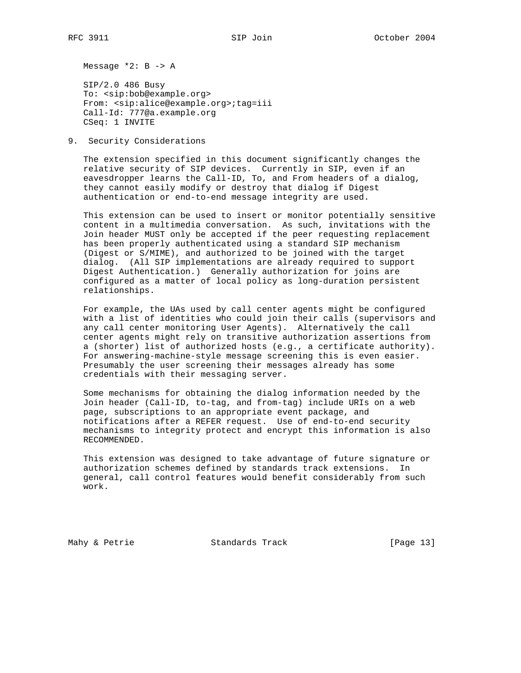Message \*2: B -> A

 SIP/2.0 486 Busy To: <sip:bob@example.org> From: <sip:alice@example.org>;tag=iii Call-Id: 777@a.example.org CSeq: 1 INVITE

9. Security Considerations

 The extension specified in this document significantly changes the relative security of SIP devices. Currently in SIP, even if an eavesdropper learns the Call-ID, To, and From headers of a dialog, they cannot easily modify or destroy that dialog if Digest authentication or end-to-end message integrity are used.

 This extension can be used to insert or monitor potentially sensitive content in a multimedia conversation. As such, invitations with the Join header MUST only be accepted if the peer requesting replacement has been properly authenticated using a standard SIP mechanism (Digest or S/MIME), and authorized to be joined with the target dialog. (All SIP implementations are already required to support Digest Authentication.) Generally authorization for joins are configured as a matter of local policy as long-duration persistent relationships.

 For example, the UAs used by call center agents might be configured with a list of identities who could join their calls (supervisors and any call center monitoring User Agents). Alternatively the call center agents might rely on transitive authorization assertions from a (shorter) list of authorized hosts (e.g., a certificate authority). For answering-machine-style message screening this is even easier. Presumably the user screening their messages already has some credentials with their messaging server.

 Some mechanisms for obtaining the dialog information needed by the Join header (Call-ID, to-tag, and from-tag) include URIs on a web page, subscriptions to an appropriate event package, and notifications after a REFER request. Use of end-to-end security mechanisms to integrity protect and encrypt this information is also RECOMMENDED.

 This extension was designed to take advantage of future signature or authorization schemes defined by standards track extensions. In general, call control features would benefit considerably from such work.

Mahy & Petrie **Standards Track** [Page 13]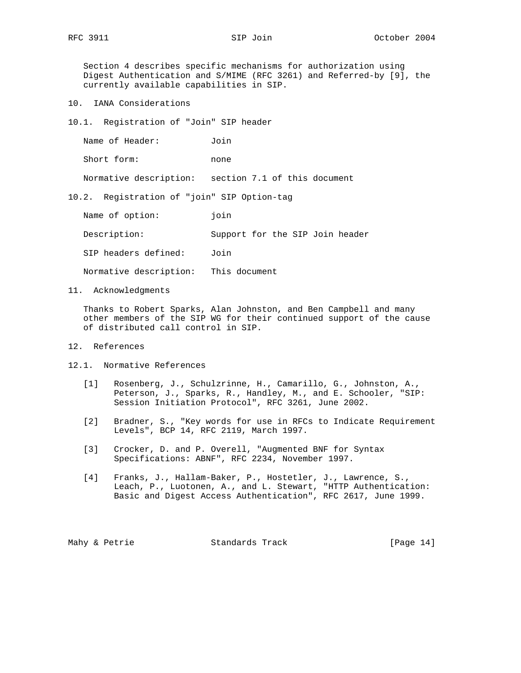Section 4 describes specific mechanisms for authorization using Digest Authentication and S/MIME (RFC 3261) and Referred-by [9], the currently available capabilities in SIP.

- 10. IANA Considerations
- 10.1. Registration of "Join" SIP header

| Name of Header: | Join |
|-----------------|------|
| Short form:     | none |

Normative description: section 7.1 of this document

10.2. Registration of "join" SIP Option-tag

| Name of option:        | join                            |
|------------------------|---------------------------------|
| Description:           | Support for the SIP Join header |
| SIP headers defined:   | Join                            |
| Normative description: | This document                   |

11. Acknowledgments

 Thanks to Robert Sparks, Alan Johnston, and Ben Campbell and many other members of the SIP WG for their continued support of the cause of distributed call control in SIP.

- 12. References
- 12.1. Normative References
	- [1] Rosenberg, J., Schulzrinne, H., Camarillo, G., Johnston, A., Peterson, J., Sparks, R., Handley, M., and E. Schooler, "SIP: Session Initiation Protocol", RFC 3261, June 2002.
	- [2] Bradner, S., "Key words for use in RFCs to Indicate Requirement Levels", BCP 14, RFC 2119, March 1997.
	- [3] Crocker, D. and P. Overell, "Augmented BNF for Syntax Specifications: ABNF", RFC 2234, November 1997.
	- [4] Franks, J., Hallam-Baker, P., Hostetler, J., Lawrence, S., Leach, P., Luotonen, A., and L. Stewart, "HTTP Authentication: Basic and Digest Access Authentication", RFC 2617, June 1999.

Mahy & Petrie **Standards Track** [Page 14]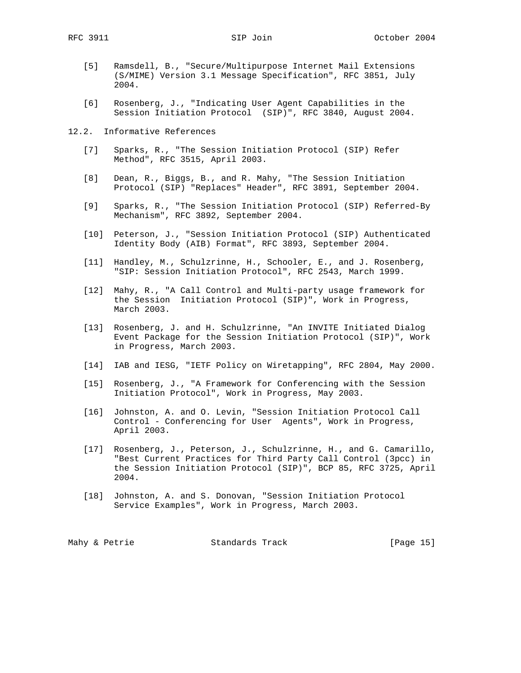- [5] Ramsdell, B., "Secure/Multipurpose Internet Mail Extensions (S/MIME) Version 3.1 Message Specification", RFC 3851, July 2004.
- [6] Rosenberg, J., "Indicating User Agent Capabilities in the Session Initiation Protocol (SIP)", RFC 3840, August 2004.
- 12.2. Informative References
	- [7] Sparks, R., "The Session Initiation Protocol (SIP) Refer Method", RFC 3515, April 2003.
	- [8] Dean, R., Biggs, B., and R. Mahy, "The Session Initiation Protocol (SIP) "Replaces" Header", RFC 3891, September 2004.
	- [9] Sparks, R., "The Session Initiation Protocol (SIP) Referred-By Mechanism", RFC 3892, September 2004.
	- [10] Peterson, J., "Session Initiation Protocol (SIP) Authenticated Identity Body (AIB) Format", RFC 3893, September 2004.
	- [11] Handley, M., Schulzrinne, H., Schooler, E., and J. Rosenberg, "SIP: Session Initiation Protocol", RFC 2543, March 1999.
	- [12] Mahy, R., "A Call Control and Multi-party usage framework for the Session Initiation Protocol (SIP)", Work in Progress, March 2003.
	- [13] Rosenberg, J. and H. Schulzrinne, "An INVITE Initiated Dialog Event Package for the Session Initiation Protocol (SIP)", Work in Progress, March 2003.
	- [14] IAB and IESG, "IETF Policy on Wiretapping", RFC 2804, May 2000.
	- [15] Rosenberg, J., "A Framework for Conferencing with the Session Initiation Protocol", Work in Progress, May 2003.
	- [16] Johnston, A. and O. Levin, "Session Initiation Protocol Call Control - Conferencing for User Agents", Work in Progress, April 2003.
	- [17] Rosenberg, J., Peterson, J., Schulzrinne, H., and G. Camarillo, "Best Current Practices for Third Party Call Control (3pcc) in the Session Initiation Protocol (SIP)", BCP 85, RFC 3725, April 2004.
	- [18] Johnston, A. and S. Donovan, "Session Initiation Protocol Service Examples", Work in Progress, March 2003.

| Mahy & Petrie<br>Standards Track | [Page 15] |  |
|----------------------------------|-----------|--|
|----------------------------------|-----------|--|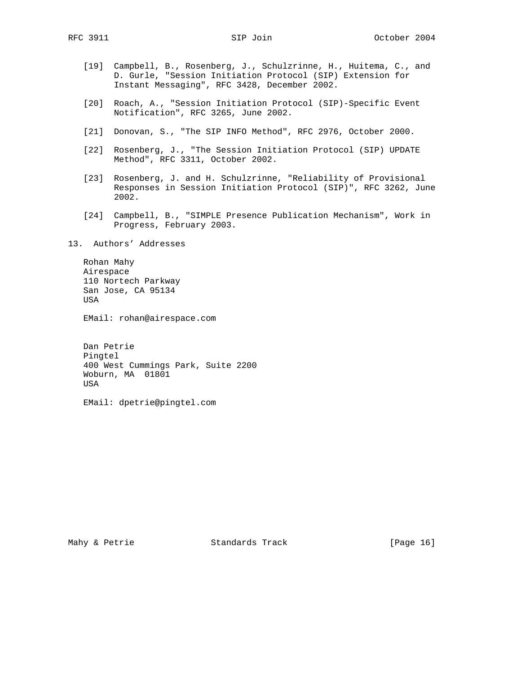- [19] Campbell, B., Rosenberg, J., Schulzrinne, H., Huitema, C., and D. Gurle, "Session Initiation Protocol (SIP) Extension for Instant Messaging", RFC 3428, December 2002.
- [20] Roach, A., "Session Initiation Protocol (SIP)-Specific Event Notification", RFC 3265, June 2002.
- [21] Donovan, S., "The SIP INFO Method", RFC 2976, October 2000.
- [22] Rosenberg, J., "The Session Initiation Protocol (SIP) UPDATE Method", RFC 3311, October 2002.
- [23] Rosenberg, J. and H. Schulzrinne, "Reliability of Provisional Responses in Session Initiation Protocol (SIP)", RFC 3262, June 2002.
- [24] Campbell, B., "SIMPLE Presence Publication Mechanism", Work in Progress, February 2003.

13. Authors' Addresses

 Rohan Mahy Airespace 110 Nortech Parkway San Jose, CA 95134 USA

EMail: rohan@airespace.com

 Dan Petrie Pingtel 400 West Cummings Park, Suite 2200 Woburn, MA 01801 USA

EMail: dpetrie@pingtel.com

Mahy & Petrie **Standards Track** [Page 16]